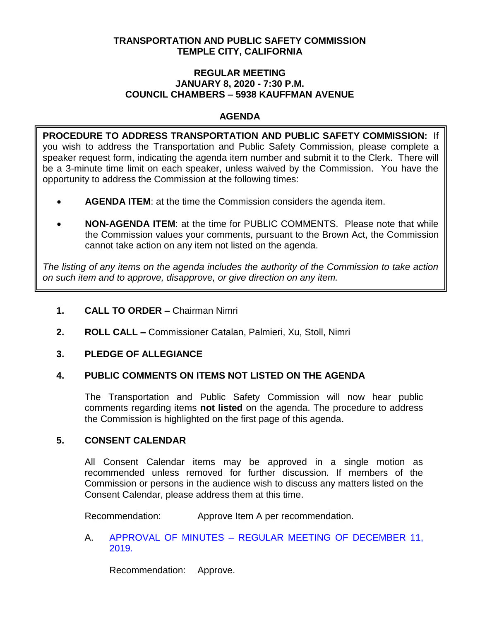# **TRANSPORTATION AND PUBLIC SAFETY COMMISSION TEMPLE CITY, CALIFORNIA**

#### **REGULAR MEETING JANUARY 8, 2020 - 7:30 P.M. COUNCIL CHAMBERS – 5938 KAUFFMAN AVENUE**

# **AGENDA**

**PROCEDURE TO ADDRESS TRANSPORTATION AND PUBLIC SAFETY COMMISSION:** If you wish to address the Transportation and Public Safety Commission, please complete a speaker request form, indicating the agenda item number and submit it to the Clerk. There will be a 3-minute time limit on each speaker, unless waived by the Commission. You have the opportunity to address the Commission at the following times:

- **AGENDA ITEM**: at the time the Commission considers the agenda item.
- **NON-AGENDA ITEM**: at the time for PUBLIC COMMENTS. Please note that while the Commission values your comments, pursuant to the Brown Act, the Commission cannot take action on any item not listed on the agenda.

*The listing of any items on the agenda includes the authority of the Commission to take action on such item and to approve, disapprove, or give direction on any item.*

# **1. CALL TO ORDER –** Chairman Nimri

**2. ROLL CALL –** Commissioner Catalan, Palmieri, Xu, Stoll, Nimri

# **3. PLEDGE OF ALLEGIANCE**

# **4. PUBLIC COMMENTS ON ITEMS NOT LISTED ON THE AGENDA**

The Transportation and Public Safety Commission will now hear public comments regarding items **not listed** on the agenda. The procedure to address the Commission is highlighted on the first page of this agenda.

# **5. CONSENT CALENDAR**

All Consent Calendar items may be approved in a single motion as recommended unless removed for further discussion. If members of the Commission or persons in the audience wish to discuss any matters listed on the Consent Calendar, please address them at this time.

Recommendation: Approve Item A per recommendation.

A. APPROVAL OF MINUTES – [REGULAR MEETING OF DECEMBER 11,](https://ca-templecity.civicplus.com/DocumentCenter/View/13676/TPSC-min-2019-12-11)  [2019.](https://ca-templecity.civicplus.com/DocumentCenter/View/13676/TPSC-min-2019-12-11)

Recommendation: Approve.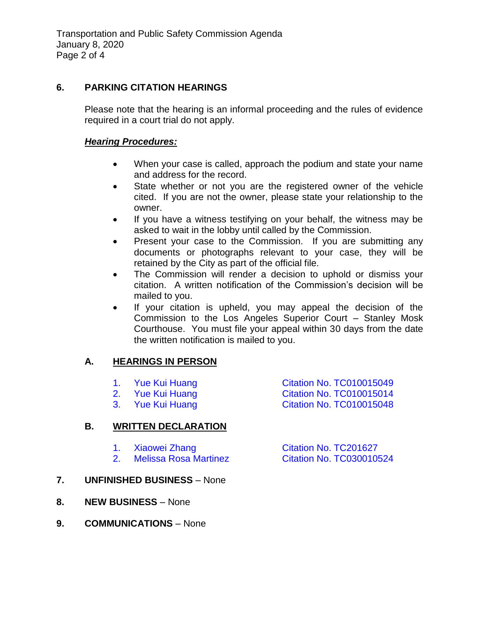# **6. PARKING CITATION HEARINGS**

Please note that the hearing is an informal proceeding and the rules of evidence required in a court trial do not apply.

### *Hearing Procedures:*

- When your case is called, approach the podium and state your name and address for the record.
- State whether or not you are the registered owner of the vehicle cited. If you are not the owner, please state your relationship to the owner.
- If you have a witness testifying on your behalf, the witness may be asked to wait in the lobby until called by the Commission.
- Present your case to the Commission. If you are submitting any documents or photographs relevant to your case, they will be retained by the City as part of the official file.
- The Commission will render a decision to uphold or dismiss your citation. A written notification of the Commission's decision will be mailed to you.
- If your citation is upheld, you may appeal the decision of the Commission to the Los Angeles Superior Court – Stanley Mosk Courthouse. You must file your appeal within 30 days from the date the written notification is mailed to you.

# **A. HEARINGS IN PERSON**

- -
	-
	- 1. Yue Kui Huang [Citation No. TC010015049](https://ca-templecity.civicplus.com/DocumentCenter/View/13671/6A1-TC010015049) 2. [Yue Kui Huang Citation No. TC010015014](https://ca-templecity.civicplus.com/DocumentCenter/View/13672/6A2-TC010015014) 3. [Yue Kui Huang Citation No. TC010015048](https://ca-templecity.civicplus.com/DocumentCenter/View/13673/6A3-TC010015048)
- **B. WRITTEN DECLARATION**
	- 1. [Xiaowei Zhang Citation No. TC201627](https://ca-templecity.civicplus.com/DocumentCenter/View/13674/6B1-TC201627)
	- 2. [Melissa Rosa Martinez Citation No. TC030010524](https://ca-templecity.civicplus.com/DocumentCenter/View/13675/6B2-TC030010524)
- **7. UNFINISHED BUSINESS** None
- **8. NEW BUSINESS** None
- **9. COMMUNICATIONS** None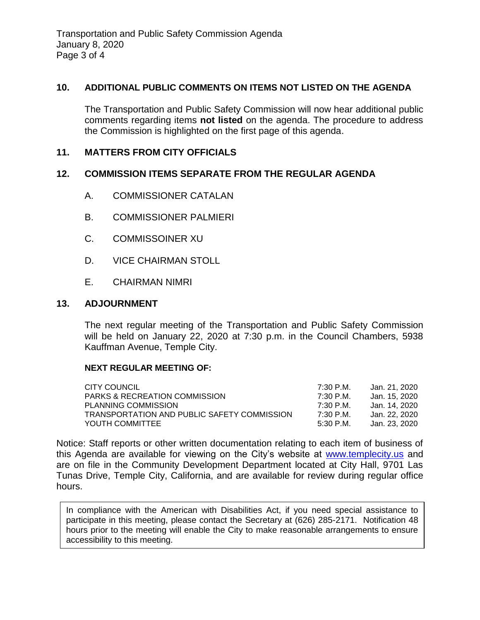Transportation and Public Safety Commission Agenda January 8, 2020 Page 3 of 4

#### **10. ADDITIONAL PUBLIC COMMENTS ON ITEMS NOT LISTED ON THE AGENDA**

The Transportation and Public Safety Commission will now hear additional public comments regarding items **not listed** on the agenda. The procedure to address the Commission is highlighted on the first page of this agenda.

# **11. MATTERS FROM CITY OFFICIALS**

### **12. COMMISSION ITEMS SEPARATE FROM THE REGULAR AGENDA**

- A. COMMISSIONER CATALAN
- B. COMMISSIONER PALMIERI
- C. COMMISSOINER XU
- D. VICE CHAIRMAN STOLL
- E. CHAIRMAN NIMRI

### **13. ADJOURNMENT**

The next regular meeting of the Transportation and Public Safety Commission will be held on January 22, 2020 at 7:30 p.m. in the Council Chambers, 5938 Kauffman Avenue, Temple City.

#### **NEXT REGULAR MEETING OF:**

| CITY COUNCIL                                | 7:30 P.M. | Jan. 21. 2020 |
|---------------------------------------------|-----------|---------------|
| <b>PARKS &amp; RECREATION COMMISSION</b>    | 7:30 P.M. | Jan. 15. 2020 |
| PLANNING COMMISSION                         | 7:30 P.M. | Jan. 14. 2020 |
| TRANSPORTATION AND PUBLIC SAFETY COMMISSION | 7:30 P.M. | Jan. 22. 2020 |
| YOUTH COMMITTEE                             | 5:30 P.M. | Jan. 23. 2020 |

Notice: Staff reports or other written documentation relating to each item of business of this Agenda are available for viewing on the City's website at [www.templecity.us](http://www.templecity.us/) and are on file in the Community Development Department located at City Hall, 9701 Las Tunas Drive, Temple City, California, and are available for review during regular office hours.

In compliance with the American with Disabilities Act, if you need special assistance to participate in this meeting, please contact the Secretary at (626) 285-2171. Notification 48 hours prior to the meeting will enable the City to make reasonable arrangements to ensure accessibility to this meeting.